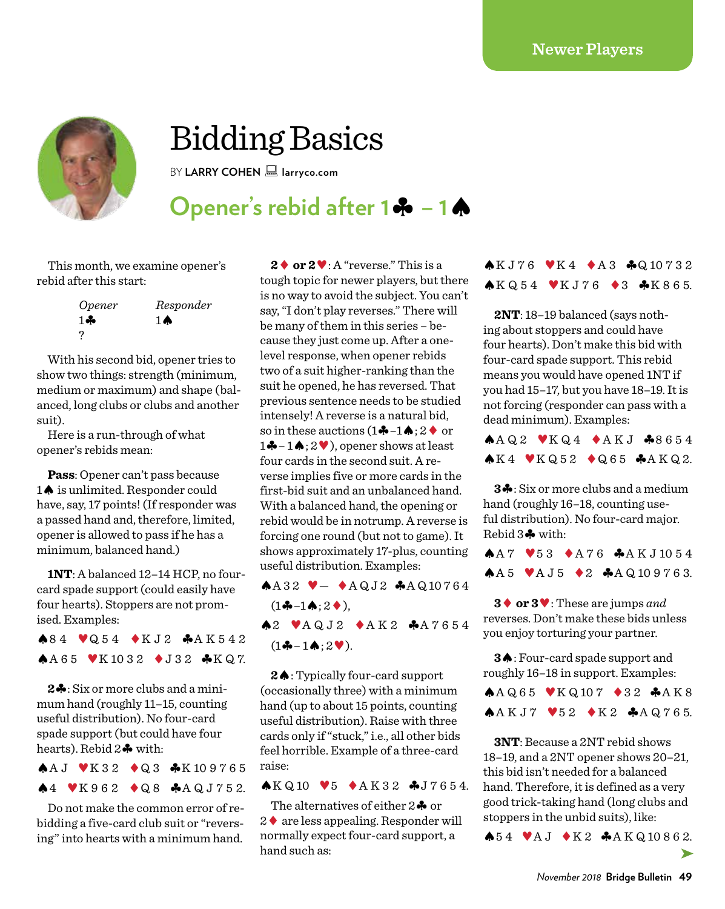

## Bidding Basics

BY LARRY COHEN  $\Box$  larryco.com

## **Opener's rebid after 1**♣ **– 1**♠

This month, we examine opener's rebid after this start:

| Opener | Responder      |
|--------|----------------|
| $1 -$  | $1 \spadesuit$ |
| ?      |                |

With his second bid, opener tries to show two things: strength (minimum, medium or maximum) and shape (balanced, long clubs or clubs and another suit).

Here is a run-through of what opener's rebids mean:

**Pass**: Opener can't pass because 1♠ is unlimited. Responder could have, say, 17 points! (If responder was a passed hand and, therefore, limited, opener is allowed to pass if he has a minimum, balanced hand.)

**1NT**: A balanced 12–14 HCP, no fourcard spade support (could easily have four hearts). Stoppers are not promised. Examples:

 $\bigcirc$ 84  $\bigcirc$ Q54  $\bigcirc$ KJ2  $\bigcirc$ AK542 ♠A 6 5 ♥K 10 3 2 ♦J 3 2 ♣K Q 7.

**2**♣: Six or more clubs and a minimum hand (roughly 11–15, counting useful distribution). No four-card spade support (but could have four hearts). Rebid 2♣ with:

|  | $A \cup W K 32 \rightarrow Q3 \rightarrow K 109765$ |
|--|-----------------------------------------------------|
|  | $A4$ VK962 $Q8$ $A_0QJ752$ .                        |

Do not make the common error of rebidding a five-card club suit or "reversing" into hearts with a minimum hand.

**2**♦ **or 2**♥: A "reverse." This is a tough topic for newer players, but there is no way to avoid the subject. You can't say, "I don't play reverses." There will be many of them in this series – because they just come up. After a onelevel response, when opener rebids two of a suit higher-ranking than the suit he opened, he has reversed. That previous sentence needs to be studied intensely! A reverse is a natural bid, so in these auctions  $(1 - -1)$ ; 2  $\bullet$  or 1♣–1♠; 2♥), opener shows at least four cards in the second suit. A reverse implies five or more cards in the first-bid suit and an unbalanced hand. With a balanced hand, the opening or rebid would be in notrump. A reverse is forcing one round (but not to game). It shows approximately 17-plus, counting useful distribution. Examples:

 $A A 3 2 \n\Psi - A Q J 2 A Q 10 764$  $(1\clubsuit-1\spadesuit;2\spadesuit)$ , ♠2 ♥A Q J 2 ♦A K 2 ♣A 7 6 5 4  $(1 - - 1)$ .

**2**♠: Typically four-card support (occasionally three) with a minimum hand (up to about 15 points, counting useful distribution). Raise with three cards only if "stuck," i.e., all other bids feel horrible. Example of a three-card raise:

♠K Q 10 ♥5 ♦A K 3 2 ♣J 7 6 5 4.

The alternatives of either 2♣ or 2♦ are less appealing. Responder will normally expect four-card support, a hand such as:

## ♠K J 7 6 ♥K 4 ♦A 3 ♣Q 10 7 3 2 ♠K Q 5 4 ♥K J 7 6 ♦3 ♣K 8 6 5.

**2NT**: 18–19 balanced (says nothing about stoppers and could have four hearts). Don't make this bid with four-card spade support. This rebid means you would have opened 1NT if you had 15–17, but you have 18–19. It is not forcing (responder can pass with a dead minimum). Examples:

♠A Q 2 ♥K Q 4 ♦A K J ♣8 6 5 4  $A K 4$   $V K Q 52$   $Q 65$   $A K Q 2$ .

**3**♣: Six or more clubs and a medium hand (roughly 16–18, counting useful distribution). No four-card major. Rebid  $3\clubsuit$  with:

♠A 7 ♥5 3 ♦A 7 6 ♣A K J 10 5 4  $A A 5 \blacktriangleright A J 5 \blacktriangleright 2 \blacktriangleright A Q 10 9 7 6 3.$ 

**3**♦ **or 3**♥: These are jumps *and* reverses. Don't make these bids unless you enjoy torturing your partner.

**3**♠: Four-card spade support and roughly 16–18 in support. Examples:

| $A \triangle Q 65$ $\forall$ KQ107 $\leftrightarrow$ 32 $\clubsuit$ AK8 |  |  |
|-------------------------------------------------------------------------|--|--|
| $A K J 7$ $V 52$ $K2$ $A Q 765$ .                                       |  |  |

**3NT**: Because a 2NT rebid shows 18–19, and a 2NT opener shows 20–21, this bid isn't needed for a balanced hand. Therefore, it is defined as a very good trick-taking hand (long clubs and stoppers in the unbid suits), like:

♠5 4 ♥A J ♦K 2 ♣A K Q 10 8 6 2.

➤